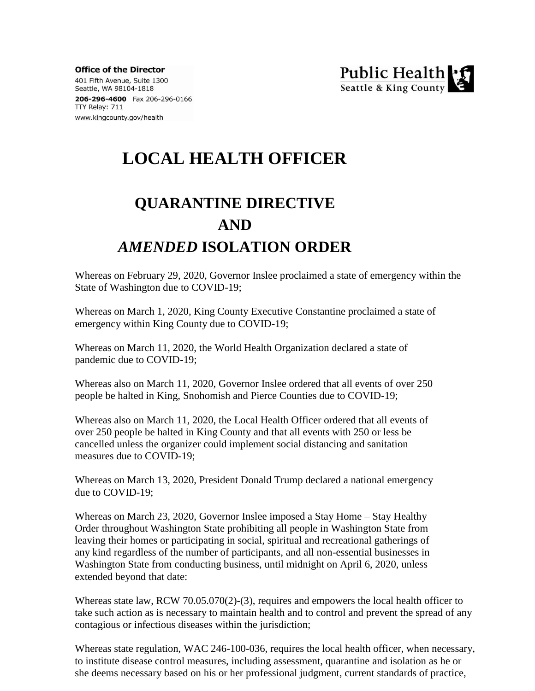**Office of the Director** 401 Fifth Avenue, Suite 1300 Seattle, WA 98104-1818 206-296-4600 Fax 206-296-0166 TTY Relay: 711 www.kingcounty.gov/health



## **LOCAL HEALTH OFFICER**

# **QUARANTINE DIRECTIVE AND** *AMENDED* **ISOLATION ORDER**

Whereas on February 29, 2020, Governor Inslee proclaimed a state of emergency within the State of Washington due to COVID-19;

Whereas on March 1, 2020, King County Executive Constantine proclaimed a state of emergency within King County due to COVID-19;

Whereas on March 11, 2020, the World Health Organization declared a state of pandemic due to COVID-19;

Whereas also on March 11, 2020, Governor Inslee ordered that all events of over 250 people be halted in King, Snohomish and Pierce Counties due to COVID-19;

Whereas also on March 11, 2020, the Local Health Officer ordered that all events of over 250 people be halted in King County and that all events with 250 or less be cancelled unless the organizer could implement social distancing and sanitation measures due to COVID-19;

Whereas on March 13, 2020, President Donald Trump declared a national emergency due to COVID-19;

Whereas on March 23, 2020, Governor Inslee imposed a Stay Home – Stay Healthy Order throughout Washington State prohibiting all people in Washington State from leaving their homes or participating in social, spiritual and recreational gatherings of any kind regardless of the number of participants, and all non-essential businesses in Washington State from conducting business, until midnight on April 6, 2020, unless extended beyond that date:

Whereas state law, RCW 70.05.070(2)-(3), requires and empowers the local health officer to take such action as is necessary to maintain health and to control and prevent the spread of any contagious or infectious diseases within the jurisdiction;

Whereas state regulation, WAC 246-100-036, requires the local health officer, when necessary, to institute disease control measures, including assessment, quarantine and isolation as he or she deems necessary based on his or her professional judgment, current standards of practice,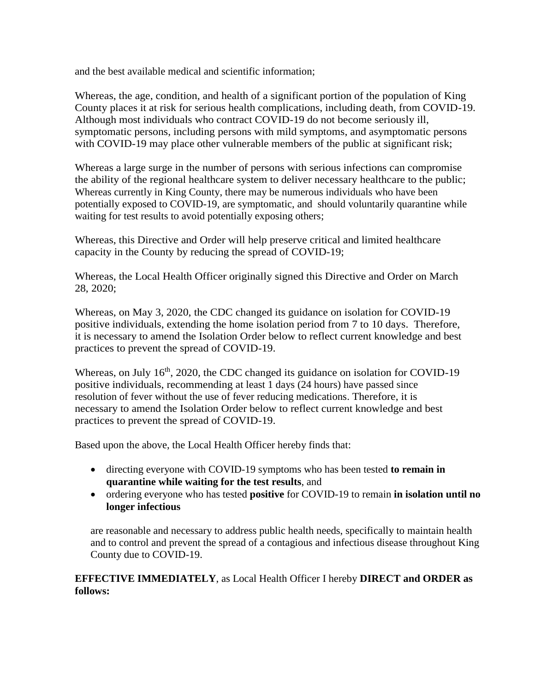and the best available medical and scientific information;

Whereas, the age, condition, and health of a significant portion of the population of King County places it at risk for serious health complications, including death, from COVID-19. Although most individuals who contract COVID-19 do not become seriously ill, symptomatic persons, including persons with mild symptoms, and asymptomatic persons with COVID-19 may place other vulnerable members of the public at significant risk;

Whereas a large surge in the number of persons with serious infections can compromise the ability of the regional healthcare system to deliver necessary healthcare to the public; Whereas currently in King County, there may be numerous individuals who have been potentially exposed to COVID-19, are symptomatic, and should voluntarily quarantine while waiting for test results to avoid potentially exposing others;

Whereas, this Directive and Order will help preserve critical and limited healthcare capacity in the County by reducing the spread of COVID-19;

Whereas, the Local Health Officer originally signed this Directive and Order on March 28, 2020;

Whereas, on May 3, 2020, the CDC changed its guidance on isolation for COVID-19 positive individuals, extending the home isolation period from 7 to 10 days. Therefore, it is necessary to amend the Isolation Order below to reflect current knowledge and best practices to prevent the spread of COVID-19.

Whereas, on July 16<sup>th</sup>, 2020, the CDC changed its guidance on isolation for COVID-19 positive individuals, recommending at least 1 days (24 hours) have passed since resolution of fever without the use of fever reducing medications. Therefore, it is necessary to amend the Isolation Order below to reflect current knowledge and best practices to prevent the spread of COVID-19.

Based upon the above, the Local Health Officer hereby finds that:

- directing everyone with COVID-19 symptoms who has been tested **to remain in quarantine while waiting for the test results**, and
- ordering everyone who has tested **positive** for COVID-19 to remain **in isolation until no longer infectious**

are reasonable and necessary to address public health needs, specifically to maintain health and to control and prevent the spread of a contagious and infectious disease throughout King County due to COVID-19.

#### **EFFECTIVE IMMEDIATELY**, as Local Health Officer I hereby **DIRECT and ORDER as follows:**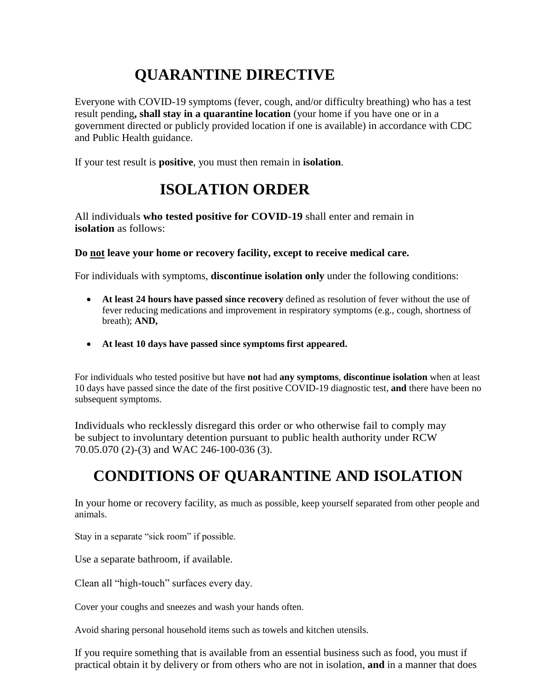## **QUARANTINE DIRECTIVE**

Everyone with COVID-19 symptoms (fever, cough, and/or difficulty breathing) who has a test result pending**, shall stay in a quarantine location** (your home if you have one or in a government directed or publicly provided location if one is available) in accordance with CDC and Public Health guidance.

If your test result is **positive**, you must then remain in **isolation**.

### **ISOLATION ORDER**

All individuals **who tested positive for COVID-19** shall enter and remain in **isolation** as follows:

**Do not leave your home or recovery facility, except to receive medical care.**

For individuals with symptoms, **discontinue isolation only** under the following conditions:

- **At least 24 hours have passed since recovery** defined as resolution of fever without the use of fever reducing medications and improvement in respiratory symptoms (e.g., cough, shortness of breath); **AND,**
- **At least 10 days have passed since symptoms first appeared.**

For individuals who tested positive but have **not** had **any symptoms**, **discontinue isolation** when at least 10 days have passed since the date of the first positive COVID-19 diagnostic test, **and** there have been no subsequent symptoms.

Individuals who recklessly disregard this order or who otherwise fail to comply may be subject to involuntary detention pursuant to public health authority under RCW 70.05.070 (2)-(3) and WAC 246-100-036 (3).

#### **CONDITIONS OF QUARANTINE AND ISOLATION**

In your home or recovery facility, as much as possible, keep yourself separated from other people and animals.

Stay in a separate "sick room" if possible.

Use a separate bathroom, if available.

Clean all "high-touch" surfaces every day.

Cover your coughs and sneezes and wash your hands often.

Avoid sharing personal household items such as towels and kitchen utensils.

If you require something that is available from an essential business such as food, you must if practical obtain it by delivery or from others who are not in isolation, **and** in a manner that does